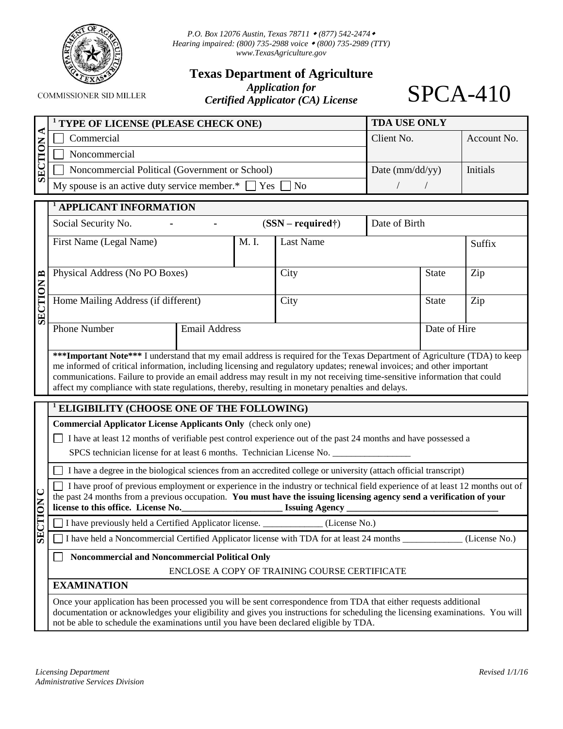

*P.O. Box 12076 Austin, Texas 78711 (877) 542-2474 Hearing impaired: (800) 735-2988 voice (800) 735-2989 (TTY) [www.TexasAgriculture.gov](http://www.agr.state.tx.us/)* 

**Texas Department of Agriculture**

**COMMISSIONER SID MILLER** 

*Application for Certified Applicator (CA) License* 

SPCA-410

| <sup>1</sup> TYPE OF LICENSE (PLEASE CHECK ONE)                   | <b>TDA USE ONLY</b> |             |
|-------------------------------------------------------------------|---------------------|-------------|
| Commercial                                                        | Client No.          | Account No. |
| Noncommercial                                                     |                     |             |
| Noncommercial Political (Government or School)                    | Date ( $mm/dd/yy$ ) | Initials    |
| My spouse is an active duty service member.* $\Box$ Yes $\Box$ No |                     |             |

|                | <b>APPLICANT INFORMATION</b>        |                      |      |           |                                            |              |        |  |
|----------------|-------------------------------------|----------------------|------|-----------|--------------------------------------------|--------------|--------|--|
|                | Social Security No.<br>۰            |                      |      |           | Date of Birth<br>$(SSN - required\dagger)$ |              |        |  |
|                | First Name (Legal Name)             |                      | M.I. | Last Name |                                            |              | Suffix |  |
| $\mathbf{B}$   | Physical Address (No PO Boxes)      |                      |      | City      | <b>State</b>                               |              | Zip    |  |
| <b>SECTION</b> | Home Mailing Address (if different) |                      |      | City      |                                            | <b>State</b> | Zip    |  |
|                | <b>Phone Number</b>                 | <b>Email Address</b> |      |           |                                            | Date of Hire |        |  |

**\*\*\*Important Note\*\*\*** I understand that my email address is required for the Texas Department of Agriculture (TDA) to keep me informed of critical information, including licensing and regulatory updates; renewal invoices; and other important communications. Failure to provide an email address may result in my not receiving time-sensitive information that could affect my compliance with state regulations, thereby, resulting in monetary penalties and delays.

## **<sup>1</sup> ELIGIBILITY (CHOOSE ONE OF THE FOLLOWING)**

**Commercial Applicator License Applicants Only** (check only one)

I have at least 12 months of verifiable pest control experience out of the past 24 months and have possessed a

SPCS technician license for at least 6 months. Technician License No.

I have a degree in the biological sciences from an accredited college or university (attach official transcript)

|                                     | $\Box$ I have proof of previous employment or experience in the industry or technical field experience of at least 12 months out of |
|-------------------------------------|-------------------------------------------------------------------------------------------------------------------------------------|
|                                     | the past 24 months from a previous occupation. You must have the issuing licensing agency send a verification of your               |
| license to this office. License No. | <b>Issuing Agency</b>                                                                                                               |

I have previously held a Certified Applicator license. \_\_\_\_\_\_\_\_\_\_\_\_\_ (License No.)

I have held a Noncommercial Certified Applicator license with TDA for at least 24 months (License No.)

## **Noncommercial and Noncommercial Political Only**

## ENCLOSE A COPY OF TRAINING COURSE CERTIFICATE

## **EXAMINATION**

**NOLLOTS** 

Once your application has been processed you will be sent correspondence from TDA that either requests additional documentation or acknowledges your eligibility and gives you instructions for scheduling the licensing examinations. You will not be able to schedule the examinations until you have been declared eligible by TDA.